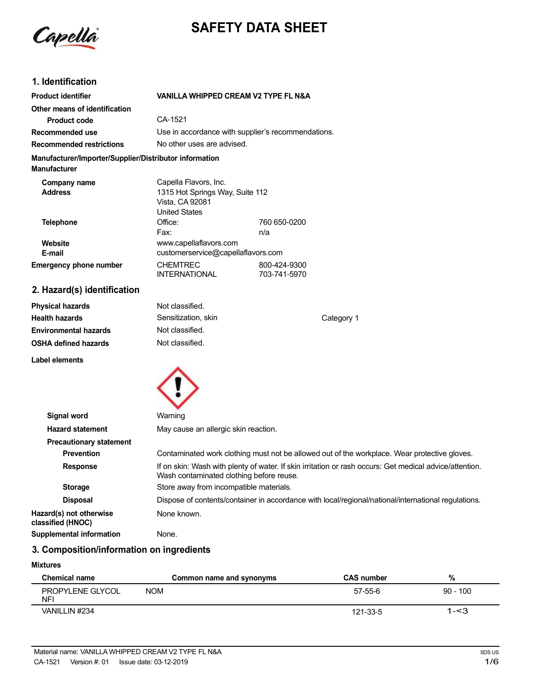Capella

# **SAFETY DATA SHEET**

# **1. Identification**

| <b>Product identifier</b>                                                     | VANILLA WHIPPED CREAM V2 TYPE FL N&A                                                                |                              |
|-------------------------------------------------------------------------------|-----------------------------------------------------------------------------------------------------|------------------------------|
| Other means of identification                                                 |                                                                                                     |                              |
| <b>Product code</b>                                                           | CA-1521                                                                                             |                              |
| Recommended use                                                               | Use in accordance with supplier's recommendations.                                                  |                              |
| <b>Recommended restrictions</b>                                               | No other uses are advised.                                                                          |                              |
| Manufacturer/Importer/Supplier/Distributor information<br><b>Manufacturer</b> |                                                                                                     |                              |
| Company name<br><b>Address</b>                                                | Capella Flavors, Inc.<br>1315 Hot Springs Way, Suite 112<br>Vista, CA 92081<br><b>United States</b> |                              |
| Telephone                                                                     | Office:<br>Fax:                                                                                     | 760 650-0200<br>n/a          |
| Website<br>E-mail                                                             | www.capellaflavors.com<br>customerservice@capellaflavors.com                                        |                              |
| <b>Emergency phone number</b>                                                 | <b>CHEMTREC</b><br><b>INTERNATIONAL</b>                                                             | 800-424-9300<br>703-741-5970 |
| 2. Hazard(s) identification                                                   |                                                                                                     |                              |

| <b>Physical hazards</b>      | Not classified.     |            |
|------------------------------|---------------------|------------|
| <b>Health hazards</b>        | Sensitization, skin | Category 1 |
| <b>Environmental hazards</b> | Not classified.     |            |
| <b>OSHA defined hazards</b>  | Not classified.     |            |
| Label elements               |                     |            |



| Signal word                                  | Warning                                                                                                                                             |
|----------------------------------------------|-----------------------------------------------------------------------------------------------------------------------------------------------------|
| <b>Hazard statement</b>                      | May cause an allergic skin reaction.                                                                                                                |
| <b>Precautionary statement</b>               |                                                                                                                                                     |
| <b>Prevention</b>                            | Contaminated work clothing must not be allowed out of the workplace. Wear protective gloves.                                                        |
| <b>Response</b>                              | If on skin: Wash with plenty of water. If skin irritation or rash occurs: Get medical advice/attention.<br>Wash contaminated clothing before reuse. |
| <b>Storage</b>                               | Store away from incompatible materials.                                                                                                             |
| <b>Disposal</b>                              | Dispose of contents/container in accordance with local/regional/national/international regulations.                                                 |
| Hazard(s) not otherwise<br>classified (HNOC) | None known.                                                                                                                                         |
| <b>Supplemental information</b>              | None.                                                                                                                                               |

# **3. Composition/information on ingredients**

#### **Mixtures**

| <b>Chemical name</b>    | Common name and synonyms | <b>CAS number</b> | %          |
|-------------------------|--------------------------|-------------------|------------|
| PROPYLENE GLYCOL<br>NF' | <b>NOM</b>               | 57-55-6           | $90 - 100$ |
| VANILLIN #234           |                          | 121-33-5          | 1-<3       |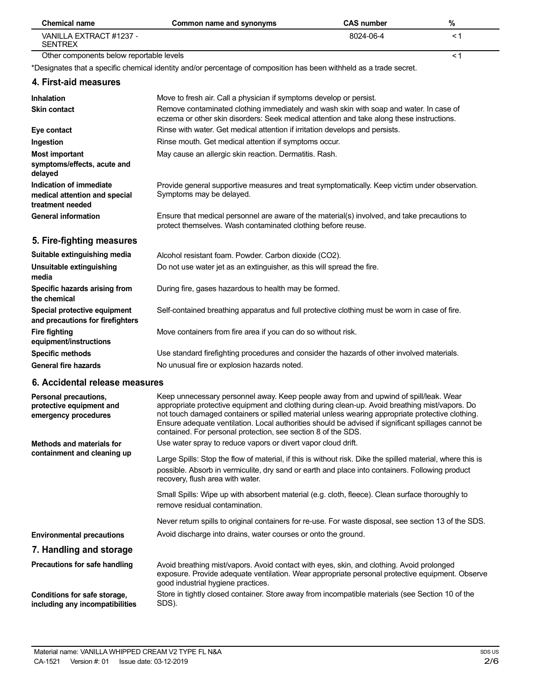| <b>Chemical name</b>                                                                                          | Common name and synonyms                                                                                                                                                                                                                                                                                                                                                                                                                                                                                                             | <b>CAS number</b> | $\%$ |
|---------------------------------------------------------------------------------------------------------------|--------------------------------------------------------------------------------------------------------------------------------------------------------------------------------------------------------------------------------------------------------------------------------------------------------------------------------------------------------------------------------------------------------------------------------------------------------------------------------------------------------------------------------------|-------------------|------|
| VANILLA EXTRACT #1237 -<br><b>SENTREX</b>                                                                     |                                                                                                                                                                                                                                                                                                                                                                                                                                                                                                                                      | 8024-06-4         | <1   |
| Other components below reportable levels                                                                      |                                                                                                                                                                                                                                                                                                                                                                                                                                                                                                                                      |                   | < 1  |
|                                                                                                               | *Designates that a specific chemical identity and/or percentage of composition has been withheld as a trade secret.                                                                                                                                                                                                                                                                                                                                                                                                                  |                   |      |
| 4. First-aid measures                                                                                         |                                                                                                                                                                                                                                                                                                                                                                                                                                                                                                                                      |                   |      |
| <b>Inhalation</b><br><b>Skin contact</b>                                                                      | Move to fresh air. Call a physician if symptoms develop or persist.<br>Remove contaminated clothing immediately and wash skin with soap and water. In case of<br>eczema or other skin disorders: Seek medical attention and take along these instructions.                                                                                                                                                                                                                                                                           |                   |      |
| Eye contact                                                                                                   | Rinse with water. Get medical attention if irritation develops and persists.                                                                                                                                                                                                                                                                                                                                                                                                                                                         |                   |      |
| Ingestion                                                                                                     | Rinse mouth. Get medical attention if symptoms occur.                                                                                                                                                                                                                                                                                                                                                                                                                                                                                |                   |      |
| <b>Most important</b><br>symptoms/effects, acute and<br>delayed                                               | May cause an allergic skin reaction. Dermatitis. Rash.                                                                                                                                                                                                                                                                                                                                                                                                                                                                               |                   |      |
| Indication of immediate<br>medical attention and special<br>treatment needed                                  | Provide general supportive measures and treat symptomatically. Keep victim under observation.<br>Symptoms may be delayed.                                                                                                                                                                                                                                                                                                                                                                                                            |                   |      |
| <b>General information</b>                                                                                    | Ensure that medical personnel are aware of the material(s) involved, and take precautions to<br>protect themselves. Wash contaminated clothing before reuse.                                                                                                                                                                                                                                                                                                                                                                         |                   |      |
| 5. Fire-fighting measures                                                                                     |                                                                                                                                                                                                                                                                                                                                                                                                                                                                                                                                      |                   |      |
| Suitable extinguishing media                                                                                  | Alcohol resistant foam. Powder. Carbon dioxide (CO2).                                                                                                                                                                                                                                                                                                                                                                                                                                                                                |                   |      |
| <b>Unsuitable extinguishing</b><br>media                                                                      | Do not use water jet as an extinguisher, as this will spread the fire.                                                                                                                                                                                                                                                                                                                                                                                                                                                               |                   |      |
| Specific hazards arising from<br>the chemical                                                                 | During fire, gases hazardous to health may be formed.                                                                                                                                                                                                                                                                                                                                                                                                                                                                                |                   |      |
| Special protective equipment<br>and precautions for firefighters                                              | Self-contained breathing apparatus and full protective clothing must be worn in case of fire.                                                                                                                                                                                                                                                                                                                                                                                                                                        |                   |      |
| <b>Fire fighting</b><br>equipment/instructions                                                                | Move containers from fire area if you can do so without risk.                                                                                                                                                                                                                                                                                                                                                                                                                                                                        |                   |      |
| <b>Specific methods</b>                                                                                       | Use standard firefighting procedures and consider the hazards of other involved materials.                                                                                                                                                                                                                                                                                                                                                                                                                                           |                   |      |
| <b>General fire hazards</b>                                                                                   | No unusual fire or explosion hazards noted.                                                                                                                                                                                                                                                                                                                                                                                                                                                                                          |                   |      |
| 6. Accidental release measures                                                                                |                                                                                                                                                                                                                                                                                                                                                                                                                                                                                                                                      |                   |      |
| Personal precautions,<br>protective equipment and<br>emergency procedures<br><b>Methods and materials for</b> | Keep unnecessary personnel away. Keep people away from and upwind of spill/leak. Wear<br>appropriate protective equipment and clothing during clean-up. Avoid breathing mist/vapors. Do<br>not touch damaged containers or spilled material unless wearing appropriate protective clothing.<br>Ensure adequate ventilation. Local authorities should be advised if significant spillages cannot be<br>contained. For personal protection, see section 8 of the SDS.<br>Use water spray to reduce vapors or divert vapor cloud drift. |                   |      |
| containment and cleaning up                                                                                   | Large Spills: Stop the flow of material, if this is without risk. Dike the spilled material, where this is<br>possible. Absorb in vermiculite, dry sand or earth and place into containers. Following product<br>recovery, flush area with water.                                                                                                                                                                                                                                                                                    |                   |      |
|                                                                                                               | Small Spills: Wipe up with absorbent material (e.g. cloth, fleece). Clean surface thoroughly to<br>remove residual contamination.                                                                                                                                                                                                                                                                                                                                                                                                    |                   |      |
|                                                                                                               | Never return spills to original containers for re-use. For waste disposal, see section 13 of the SDS.                                                                                                                                                                                                                                                                                                                                                                                                                                |                   |      |
| <b>Environmental precautions</b>                                                                              | Avoid discharge into drains, water courses or onto the ground.                                                                                                                                                                                                                                                                                                                                                                                                                                                                       |                   |      |
| 7. Handling and storage                                                                                       |                                                                                                                                                                                                                                                                                                                                                                                                                                                                                                                                      |                   |      |
| Precautions for safe handling                                                                                 |                                                                                                                                                                                                                                                                                                                                                                                                                                                                                                                                      |                   |      |
|                                                                                                               | Avoid breathing mist/vapors. Avoid contact with eyes, skin, and clothing. Avoid prolonged<br>exposure. Provide adequate ventilation. Wear appropriate personal protective equipment. Observe<br>good industrial hygiene practices.                                                                                                                                                                                                                                                                                                   |                   |      |
| Conditions for safe storage,<br>including any incompatibilities                                               | Store in tightly closed container. Store away from incompatible materials (see Section 10 of the<br>SDS).                                                                                                                                                                                                                                                                                                                                                                                                                            |                   |      |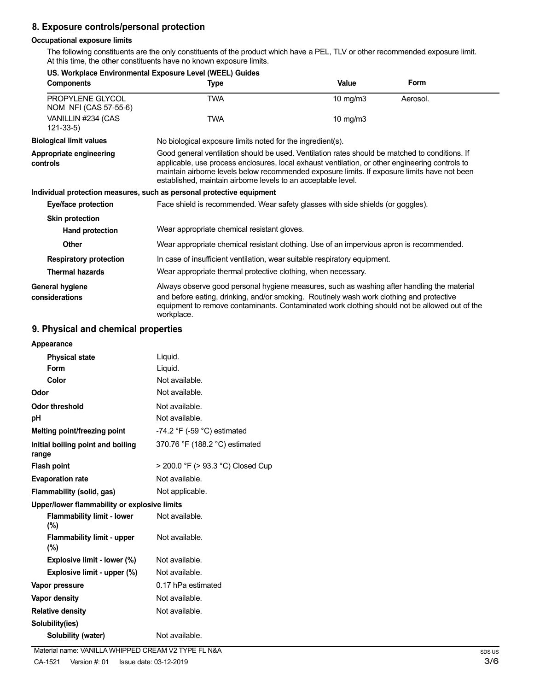# **8. Exposure controls/personal protection**

## **Occupational exposure limits**

The following constituents are the only constituents of the product which have a PEL, TLV or other recommended exposure limit. At this time, the other constituents have no known exposure limits.

|                                           | US. Workplace Environmental Exposure Level (WEEL) Guides                                                                                                                                                                                                                                                                                                           |            |          |
|-------------------------------------------|--------------------------------------------------------------------------------------------------------------------------------------------------------------------------------------------------------------------------------------------------------------------------------------------------------------------------------------------------------------------|------------|----------|
| <b>Components</b>                         | <b>Type</b>                                                                                                                                                                                                                                                                                                                                                        | Value      | Form     |
| PROPYLENE GLYCOL<br>NOM NFI (CAS 57-55-6) | <b>TWA</b>                                                                                                                                                                                                                                                                                                                                                         | 10 mg/m3   | Aerosol. |
| VANILLIN #234 (CAS<br>$121 - 33 - 5$      | <b>TWA</b>                                                                                                                                                                                                                                                                                                                                                         | 10 $mg/m3$ |          |
| <b>Biological limit values</b>            | No biological exposure limits noted for the ingredient(s).                                                                                                                                                                                                                                                                                                         |            |          |
| Appropriate engineering<br>controls       | Good general ventilation should be used. Ventilation rates should be matched to conditions. If<br>applicable, use process enclosures, local exhaust ventilation, or other engineering controls to<br>maintain airborne levels below recommended exposure limits. If exposure limits have not been<br>established, maintain airborne levels to an acceptable level. |            |          |
|                                           | Individual protection measures, such as personal protective equipment                                                                                                                                                                                                                                                                                              |            |          |
| Eye/face protection                       | Face shield is recommended. Wear safety glasses with side shields (or goggles).                                                                                                                                                                                                                                                                                    |            |          |
| <b>Skin protection</b>                    |                                                                                                                                                                                                                                                                                                                                                                    |            |          |
| Hand protection                           | Wear appropriate chemical resistant gloves.                                                                                                                                                                                                                                                                                                                        |            |          |
| Other                                     | Wear appropriate chemical resistant clothing. Use of an impervious apron is recommended.                                                                                                                                                                                                                                                                           |            |          |
| <b>Respiratory protection</b>             | In case of insufficient ventilation, wear suitable respiratory equipment.                                                                                                                                                                                                                                                                                          |            |          |
| <b>Thermal hazards</b>                    | Wear appropriate thermal protective clothing, when necessary.                                                                                                                                                                                                                                                                                                      |            |          |
| General hygiene<br>considerations         | Always observe good personal hygiene measures, such as washing after handling the material<br>and before eating, drinking, and/or smoking. Routinely wash work clothing and protective<br>equipment to remove contaminants. Contaminated work clothing should not be allowed out of the<br>workplace.                                                              |            |          |

# **9. Physical and chemical properties**

| Appearance                                   |                                   |
|----------------------------------------------|-----------------------------------|
| <b>Physical state</b>                        | Liquid.                           |
| Form                                         | Liquid.                           |
| Color                                        | Not available.                    |
| Odor                                         | Not available.                    |
| Odor threshold                               | Not available.                    |
| рH                                           | Not available.                    |
| Melting point/freezing point                 | -74.2 °F (-59 °C) estimated       |
| Initial boiling point and boiling<br>range   | 370.76 °F (188.2 °C) estimated    |
| <b>Flash point</b>                           | > 200.0 °F (> 93.3 °C) Closed Cup |
| <b>Evaporation rate</b>                      | Not available.                    |
| Flammability (solid, gas)                    | Not applicable.                   |
| Upper/lower flammability or explosive limits |                                   |
| <b>Flammability limit - lower</b><br>(%)     | Not available.                    |
| <b>Flammability limit - upper</b><br>(%)     | Not available.                    |
| Explosive limit - lower (%)                  | Not available.                    |
| Explosive limit - upper (%)                  | Not available.                    |
| Vapor pressure                               | 0.17 hPa estimated                |
| <b>Vapor density</b>                         | Not available.                    |
| <b>Relative density</b>                      | Not available.                    |
| Solubility(ies)                              |                                   |
| Solubility (water)                           | Not available.                    |
|                                              |                                   |

Material name: VANILLA WHIPPED CREAM V2 TYPE FL N&A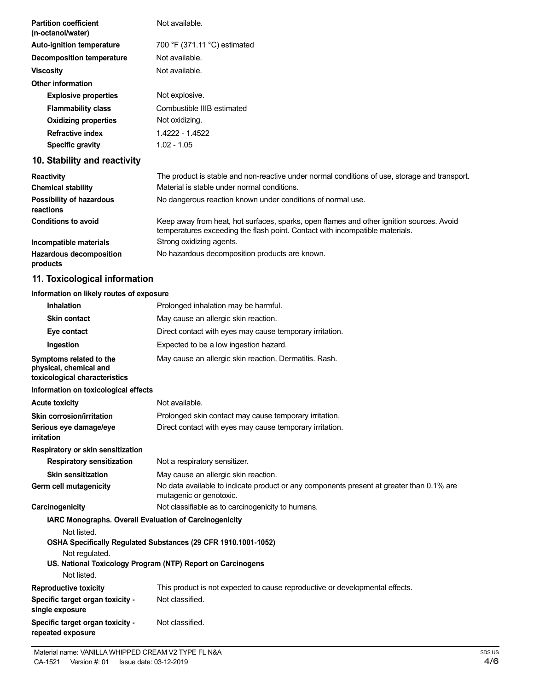| <b>Partition coefficient</b><br>(n-octanol/water) | Not available.                                                                                                                                                           |
|---------------------------------------------------|--------------------------------------------------------------------------------------------------------------------------------------------------------------------------|
| <b>Auto-ignition temperature</b>                  | 700 °F (371.11 °C) estimated                                                                                                                                             |
| <b>Decomposition temperature</b>                  | Not available.                                                                                                                                                           |
| <b>Viscosity</b>                                  | Not available.                                                                                                                                                           |
| <b>Other information</b>                          |                                                                                                                                                                          |
| <b>Explosive properties</b>                       | Not explosive.                                                                                                                                                           |
| <b>Flammability class</b>                         | Combustible IIIB estimated                                                                                                                                               |
| <b>Oxidizing properties</b>                       | Not oxidizing.                                                                                                                                                           |
| <b>Refractive index</b>                           | 1.4222 - 1.4522                                                                                                                                                          |
| <b>Specific gravity</b>                           | $1.02 - 1.05$                                                                                                                                                            |
| 10. Stability and reactivity                      |                                                                                                                                                                          |
| <b>Reactivity</b>                                 | The product is stable and non-reactive under normal conditions of use, storage and transport.                                                                            |
| <b>Chemical stability</b>                         | Material is stable under normal conditions.                                                                                                                              |
| Possibility of hazardous<br>reactions             | No dangerous reaction known under conditions of normal use.                                                                                                              |
| <b>Conditions to avoid</b>                        | Keep away from heat, hot surfaces, sparks, open flames and other ignition sources. Avoid<br>temperatures exceeding the flash point. Contact with incompatible materials. |
| Incompatible materials                            | Strong oxidizing agents.                                                                                                                                                 |
| <b>Hazardous decomposition</b><br>products        | No hazardous decomposition products are known.                                                                                                                           |
| 11. Toxicological information                     |                                                                                                                                                                          |
| Information on likely routes of exposure          |                                                                                                                                                                          |
| <b>Inhalation</b>                                 | Prolonged inhalation may be harmful.                                                                                                                                     |
| <b>Skin contact</b>                               | May cause an allergic skin reaction.                                                                                                                                     |

| <b>Skin contact</b>                                                                | May cause an allergic skin reaction.                                                                                          |
|------------------------------------------------------------------------------------|-------------------------------------------------------------------------------------------------------------------------------|
| Eye contact                                                                        | Direct contact with eyes may cause temporary irritation.                                                                      |
| Ingestion                                                                          | Expected to be a low ingestion hazard.                                                                                        |
| Symptoms related to the<br>physical, chemical and<br>toxicological characteristics | May cause an allergic skin reaction. Dermatitis. Rash.                                                                        |
| Information on toxicological effects                                               |                                                                                                                               |
| <b>Acute toxicity</b>                                                              | Not available.                                                                                                                |
| <b>Skin corrosion/irritation</b>                                                   | Prolonged skin contact may cause temporary irritation.                                                                        |
| Serious eye damage/eye<br>irritation                                               | Direct contact with eyes may cause temporary irritation.                                                                      |
| Respiratory or skin sensitization                                                  |                                                                                                                               |
| <b>Respiratory sensitization</b>                                                   | Not a respiratory sensitizer.                                                                                                 |
| <b>Skin sensitization</b>                                                          | May cause an allergic skin reaction.                                                                                          |
| Germ cell mutagenicity                                                             | No data available to indicate product or any components present at greater than 0.1% are<br>mutagenic or genotoxic.           |
| Carcinogenicity                                                                    | Not classifiable as to carcinogenicity to humans.                                                                             |
| <b>IARC Monographs. Overall Evaluation of Carcinogenicity</b>                      |                                                                                                                               |
| Not listed.<br>Not regulated.                                                      | OSHA Specifically Regulated Substances (29 CFR 1910.1001-1052)<br>US. National Toxicology Program (NTP) Report on Carcinogens |
| Not listed.                                                                        |                                                                                                                               |
| <b>Reproductive toxicity</b>                                                       | This product is not expected to cause reproductive or developmental effects.<br>Not classified.                               |
| Specific target organ toxicity -<br>single exposure                                |                                                                                                                               |
| Specific target organ toxicity -<br>repeated exposure                              | Not classified.                                                                                                               |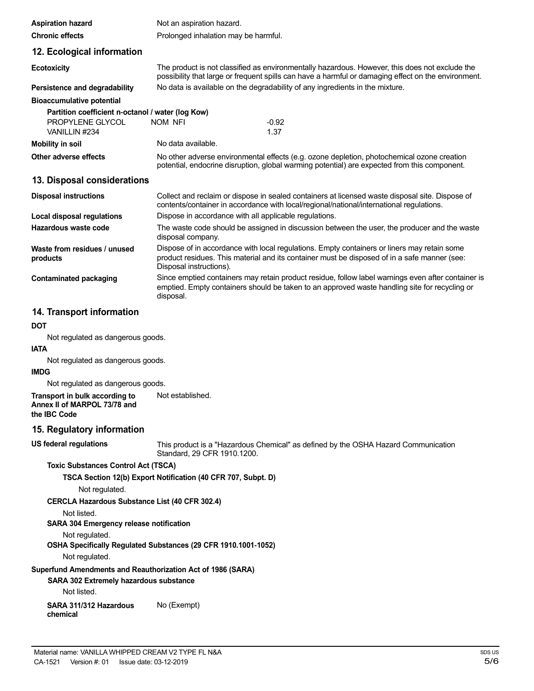| <b>Aspiration hazard</b>                          | Not an aspiration hazard.                              |                                                                                                                                                                                                       |
|---------------------------------------------------|--------------------------------------------------------|-------------------------------------------------------------------------------------------------------------------------------------------------------------------------------------------------------|
| <b>Chronic effects</b>                            | Prolonged inhalation may be harmful.                   |                                                                                                                                                                                                       |
| 12. Ecological information                        |                                                        |                                                                                                                                                                                                       |
| <b>Ecotoxicity</b>                                |                                                        | The product is not classified as environmentally hazardous. However, this does not exclude the<br>possibility that large or frequent spills can have a harmful or damaging effect on the environment. |
| Persistence and degradability                     |                                                        | No data is available on the degradability of any ingredients in the mixture.                                                                                                                          |
| <b>Bioaccumulative potential</b>                  |                                                        |                                                                                                                                                                                                       |
| Partition coefficient n-octanol / water (log Kow) |                                                        |                                                                                                                                                                                                       |
| PROPYLENE GLYCOL<br>VANILLIN #234                 | NOM NFI                                                | $-0.92$<br>1.37                                                                                                                                                                                       |
| <b>Mobility in soil</b>                           | No data available.                                     |                                                                                                                                                                                                       |
| Other adverse effects                             |                                                        | No other adverse environmental effects (e.g. ozone depletion, photochemical ozone creation<br>potential, endocrine disruption, global warming potential) are expected from this component.            |
| 13. Disposal considerations                       |                                                        |                                                                                                                                                                                                       |
| <b>Disposal instructions</b>                      |                                                        | Collect and reclaim or dispose in sealed containers at licensed waste disposal site. Dispose of<br>contents/container in accordance with local/regional/national/international regulations.           |
| Local disposal regulations                        | Dispose in accordance with all applicable regulations. |                                                                                                                                                                                                       |
| Hazardous waste code                              | disposal company.                                      | The waste code should be assigned in discussion between the user, the producer and the waste                                                                                                          |
| Waste from residues / unused<br>products          | Disposal instructions).                                | Dispose of in accordance with local regulations. Empty containers or liners may retain some<br>product residues. This material and its container must be disposed of in a safe manner (see:           |
| <b>Contaminated packaging</b>                     | disposal.                                              | Since emptied containers may retain product residue, follow label warnings even after container is<br>emptied. Empty containers should be taken to an approved waste handling site for recycling or   |
| 14. Transport information                         |                                                        |                                                                                                                                                                                                       |
| <b>DOT</b>                                        |                                                        |                                                                                                                                                                                                       |
| Not regulated as dangerous goods.                 |                                                        |                                                                                                                                                                                                       |
| <b>IATA</b>                                       |                                                        |                                                                                                                                                                                                       |
| Not regulated as dangerous goods.                 |                                                        |                                                                                                                                                                                                       |

**IMDG**

Not regulated as dangerous goods.

**Transport in bulk according to Annex II of MARPOL 73/78 and** Not established.

**the IBC Code**

## **15. Regulatory information**

**US federal regulations**

This product is a "Hazardous Chemical" as defined by the OSHA Hazard Communication Standard, 29 CFR 1910.1200.

## **Toxic Substances Control Act (TSCA)**

## **TSCA Section 12(b) Export Notification (40 CFR 707, Subpt. D)**

Not regulated.

# **CERCLA Hazardous Substance List (40 CFR 302.4)**

Not listed.

# **SARA 304 Emergency release notification**

Not regulated.

# **OSHA Specifically Regulated Substances (29 CFR 1910.1001-1052)**

Not regulated.

# **Superfund Amendments and Reauthorization Act of 1986 (SARA)**

# **SARA 302 Extremely hazardous substance**

Not listed.

**SARA 311/312 Hazardous chemical** No (Exempt)